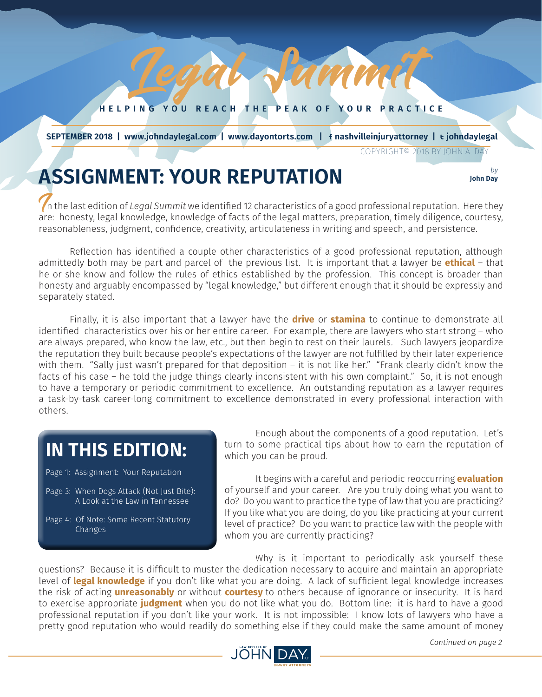**HELPING YOU REACH THE PEAK OF YOUR PRACTICE**

Liamm

*JULY 2018 1*

 **SEPTEMBER 2018 | www.johndaylegal.com | www.dayontorts.com |** F **nashvilleinjuryattorney |** T **johndaylegal**

COPYRIGHT© 2018 BY JOHN A. DAY

**John Day**

## **ASSIGNMENT: YOUR REPUTATION** *by b*y *b*<sub>*lohn Day*</sub>

In the last edition of *Legal Summit* we identified 12 characteristics of a good professional reputation. Here they are: honesty, legal knowledge, knowledge of facts of the legal matters, preparation, timely diligence, courtesy, reasonableness, judgment, confidence, creativity, articulateness in writing and speech, and persistence.

Reflection has identified a couple other characteristics of a good professional reputation, although admittedly both may be part and parcel of the previous list. It is important that a lawyer be **ethical** – that he or she know and follow the rules of ethics established by the profession. This concept is broader than honesty and arguably encompassed by "legal knowledge," but different enough that it should be expressly and separately stated.

Finally, it is also important that a lawyer have the **drive** or **stamina** to continue to demonstrate all identified characteristics over his or her entire career. For example, there are lawyers who start strong – who are always prepared, who know the law, etc., but then begin to rest on their laurels. Such lawyers jeopardize the reputation they built because people's expectations of the lawyer are not fulfilled by their later experience with them. "Sally just wasn't prepared for that deposition - it is not like her." "Frank clearly didn't know the facts of his case – he told the judge things clearly inconsistent with his own complaint." So, it is not enough to have a temporary or periodic commitment to excellence. An outstanding reputation as a lawyer requires a task-by-task career-long commitment to excellence demonstrated in every professional interaction with others.

## **IN THIS EDITION:**

Page 1: Assignment: Your Reputation

- Page 3: When Dogs Attack (Not Just Bite): A Look at the Law in Tennessee
- Page 4: Of Note: Some Recent Statutory Changes

Enough about the components of a good reputation. Let's turn to some practical tips about how to earn the reputation of which you can be proud.

It begins with a careful and periodic reoccurring **evaluation** of yourself and your career. Are you truly doing what you want to do? Do you want to practice the type of law that you are practicing? If you like what you are doing, do you like practicing at your current level of practice? Do you want to practice law with the people with whom you are currently practicing?

Why is it important to periodically ask yourself these questions? Because it is difficult to muster the dedication necessary to acquire and maintain an appropriate level of **legal knowledge** if you don't like what you are doing. A lack of sufficient legal knowledge increases the risk of acting **unreasonably** or without **courtesy** to others because of ignorance or insecurity. It is hard to exercise appropriate **judgment** when you do not like what you do. Bottom line: it is hard to have a good professional reputation if you don't like your work. It is not impossible: I know lots of lawyers who have a pretty good reputation who would readily do something else if they could make the same amount of money

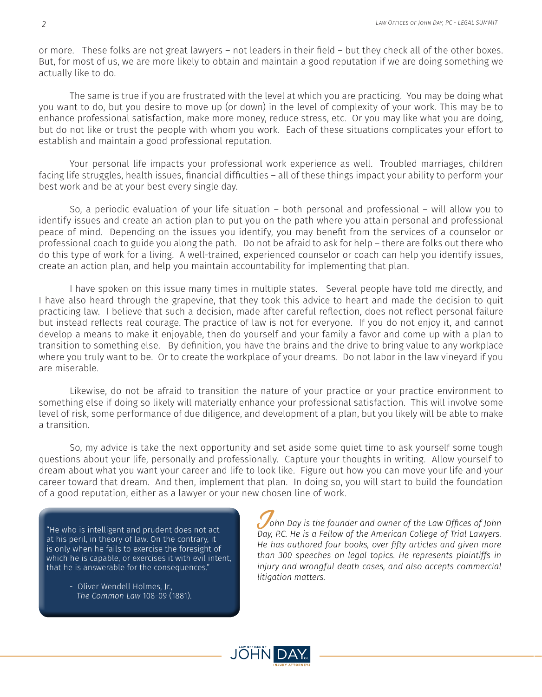or more. These folks are not great lawyers – not leaders in their field – but they check all of the other boxes. But, for most of us, we are more likely to obtain and maintain a good reputation if we are doing something we actually like to do.

The same is true if you are frustrated with the level at which you are practicing. You may be doing what you want to do, but you desire to move up (or down) in the level of complexity of your work. This may be to enhance professional satisfaction, make more money, reduce stress, etc. Or you may like what you are doing, but do not like or trust the people with whom you work. Each of these situations complicates your effort to establish and maintain a good professional reputation.

Your personal life impacts your professional work experience as well. Troubled marriages, children facing life struggles, health issues, financial difficulties – all of these things impact your ability to perform your best work and be at your best every single day.

So, a periodic evaluation of your life situation – both personal and professional – will allow you to identify issues and create an action plan to put you on the path where you attain personal and professional peace of mind. Depending on the issues you identify, you may benefit from the services of a counselor or professional coach to guide you along the path. Do not be afraid to ask for help – there are folks out there who do this type of work for a living. A well-trained, experienced counselor or coach can help you identify issues, create an action plan, and help you maintain accountability for implementing that plan.

I have spoken on this issue many times in multiple states. Several people have told me directly, and I have also heard through the grapevine, that they took this advice to heart and made the decision to quit practicing law. I believe that such a decision, made after careful reflection, does not reflect personal failure but instead reflects real courage. The practice of law is not for everyone. If you do not enjoy it, and cannot develop a means to make it enjoyable, then do yourself and your family a favor and come up with a plan to transition to something else. By definition, you have the brains and the drive to bring value to any workplace where you truly want to be. Or to create the workplace of your dreams. Do not labor in the law vineyard if you are miserable.

Likewise, do not be afraid to transition the nature of your practice or your practice environment to something else if doing so likely will materially enhance your professional satisfaction. This will involve some level of risk, some performance of due diligence, and development of a plan, but you likely will be able to make a transition.

So, my advice is take the next opportunity and set aside some quiet time to ask yourself some tough questions about your life, personally and professionally. Capture your thoughts in writing. Allow yourself to dream about what you want your career and life to look like. Figure out how you can move your life and your career toward that dream. And then, implement that plan. In doing so, you will start to build the foundation of a good reputation, either as a lawyer or your new chosen line of work.

"He who is intelligent and prudent does not act at his peril, in theory of law. On the contrary, it is only when he fails to exercise the foresight of which he is capable, or exercises it with evil intent, that he is answerable for the consequences."

> - Oliver Wendell Holmes, Jr., *The Common Law* 108-09 (1881).

J*ohn Day is the founder and owner of the Law Offices of John Day, P.C. He is a Fellow of the American College of Trial Lawyers. He has authored four books, over fifty articles and given more than 300 speeches on legal topics. He represents plaintiffs in injury and wrongful death cases, and also accepts commercial litigation matters.*

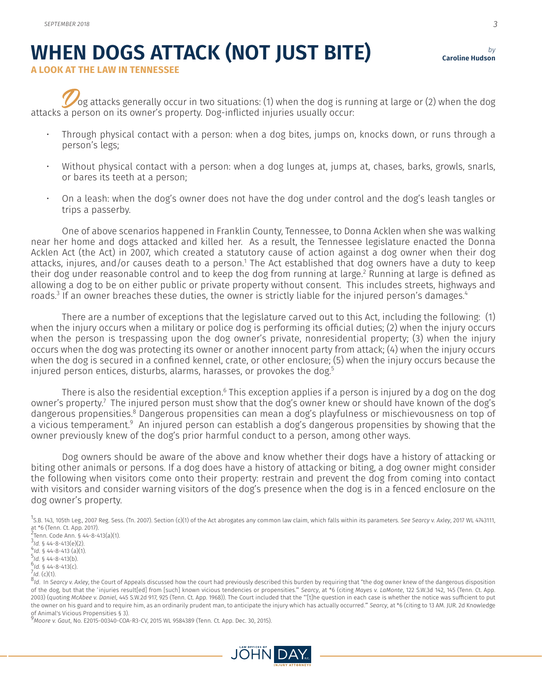## **WHEN DOGS ATTACK (NOT JUST BITE)**

*by* **Caroline Hudson**

**A LOOK AT THE LAW IN TENNESSEE**

Dog attacks generally occur in two situations: (1) when the dog is running at large or (2) when the dog attacks a person on its owner's property. Dog-inflicted injuries usually occur:

- Through physical contact with a person: when a dog bites, jumps on, knocks down, or runs through a person's legs;
- Without physical contact with a person: when a dog lunges at, jumps at, chases, barks, growls, snarls, or bares its teeth at a person;
- On a leash: when the dog's owner does not have the dog under control and the dog's leash tangles or trips a passerby.

One of above scenarios happened in Franklin County, Tennessee, to Donna Acklen when she was walking near her home and dogs attacked and killed her. As a result, the Tennessee legislature enacted the Donna Acklen Act (the Act) in 2007, which created a statutory cause of action against a dog owner when their dog attacks, injures, and/or causes death to a person.<sup>1</sup> The Act established that dog owners have a duty to keep their dog under reasonable control and to keep the dog from running at large.<sup>2</sup> Running at large is defined as allowing a dog to be on either public or private property without consent. This includes streets, highways and roads.<sup>3</sup> If an owner breaches these duties, the owner is strictly liable for the injured person's damages.<sup>4</sup>

There are a number of exceptions that the legislature carved out to this Act, including the following: (1) when the injury occurs when a military or police dog is performing its official duties; (2) when the injury occurs when the person is trespassing upon the dog owner's private, nonresidential property; (3) when the injury occurs when the dog was protecting its owner or another innocent party from attack; (4) when the injury occurs when the dog is secured in a confined kennel, crate, or other enclosure; (5) when the injury occurs because the injured person entices, disturbs, alarms, harasses, or provokes the dog.<sup>5</sup>

There is also the residential exception.<sup>6</sup> This exception applies if a person is injured by a dog on the dog owner's property.<sup>7</sup> The injured person must show that the dog's owner knew or should have known of the dog's dangerous propensities.<sup>8</sup> Dangerous propensities can mean a dog's playfulness or mischievousness on top of a vicious temperament.<sup>9</sup> An injured person can establish a dog's dangerous propensities by showing that the owner previously knew of the dog's prior harmful conduct to a person, among other ways.

Dog owners should be aware of the above and know whether their dogs have a history of attacking or biting other animals or persons. If a dog does have a history of attacking or biting, a dog owner might consider the following when visitors come onto their property: restrain and prevent the dog from coming into contact with visitors and consider warning visitors of the dog's presence when the dog is in a fenced enclosure on the dog owner's property.

1 S.B. 143, 105th Leg., 2007 Reg. Sess. (Tn. 2007). Section (c)(1) of the Act abrogates any common law claim, which falls within its parameters. *See Searcy v. Axley*, 2017 WL 4743111, at \*6 (Tenn. Ct. App. 2017).

2 Tenn. Code Ann. § 44-8-413(a)(1).

<sup>3</sup>ld. § 44-8-413(e)(2).<br><sup>4</sup>ld. § 44-8-412 (a)(1)

 $4/4$ , § 44-8-413 (a)(1).

 $^{5}$ Id. § 44-8-413(b).

 $\frac{6}{7}$ *Id.* § 44-8-413(c).<br> $\frac{7}{7}$ *Id.* (c)(1).

9 *Moore v. Gaut*, No. E2015-00340-COA-R3-CV, 2015 WL 9584389 (Tenn. Ct. App. Dec. 30, 2015).





*Id.* (c)(1). 8 *Id*. In *Searcy v. Axley*, the Court of Appeals discussed how the court had previously described this burden by requiring that "the dog owner knew of the dangerous disposition of the dog, but that the 'injuries result[ed] from [such] known vicious tendencies or propensities.'" *Searcy*, at \*6 (citing *Mayes v. LaMonte*, 122 S.W.3d 142, 145 (Tenn. Ct. App. 2003) (quoting *McAbee v. Daniel*, 445 S.W.2d 917, 925 (Tenn. Ct. App. 1968)). The Court included that the "'[t]he question in each case is whether the notice was sufficient to put the owner on his guard and to require him, as an ordinarily prudent man, to anticipate the injury which has actually occurred.'" *Searcy*, at \*6 (citing to 13 AM. JUR. 2d Knowledge of Animal's Vicious Propensities § 3).